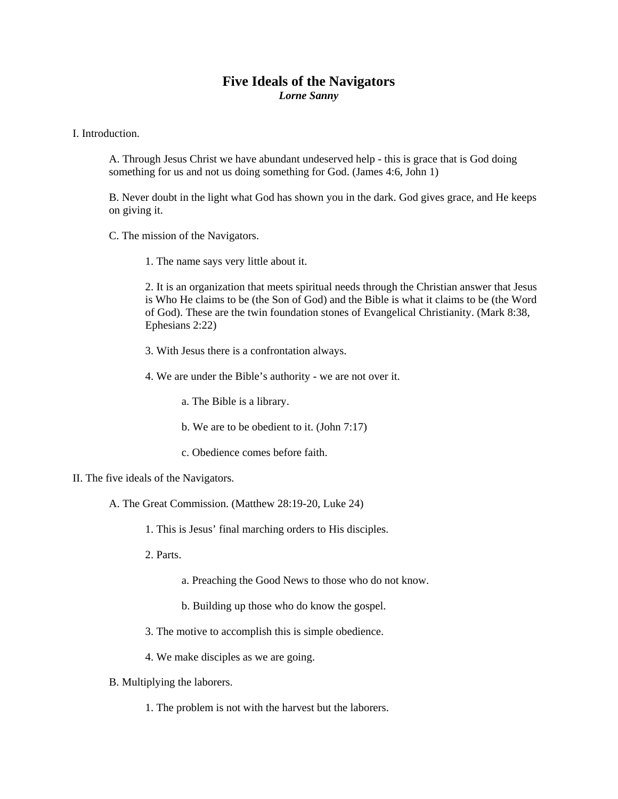## **Five Ideals of the Navigators**  *Lorne Sanny*

I. Introduction.

A. Through Jesus Christ we have abundant undeserved help - this is grace that is God doing something for us and not us doing something for God. (James 4:6, John 1)

B. Never doubt in the light what God has shown you in the dark. God gives grace, and He keeps on giving it.

C. The mission of the Navigators.

1. The name says very little about it.

2. It is an organization that meets spiritual needs through the Christian answer that Jesus is Who He claims to be (the Son of God) and the Bible is what it claims to be (the Word of God). These are the twin foundation stones of Evangelical Christianity. (Mark 8:38, Ephesians 2:22)

- 3. With Jesus there is a confrontation always.
- 4. We are under the Bible's authority we are not over it.
	- a. The Bible is a library.
	- b. We are to be obedient to it. (John 7:17)
	- c. Obedience comes before faith.
- II. The five ideals of the Navigators.
	- A. The Great Commission. (Matthew 28:19-20, Luke 24)
		- 1. This is Jesus' final marching orders to His disciples.
		- 2. Parts.
			- a. Preaching the Good News to those who do not know.
			- b. Building up those who do know the gospel.
		- 3. The motive to accomplish this is simple obedience.
		- 4. We make disciples as we are going.
	- B. Multiplying the laborers.
		- 1. The problem is not with the harvest but the laborers.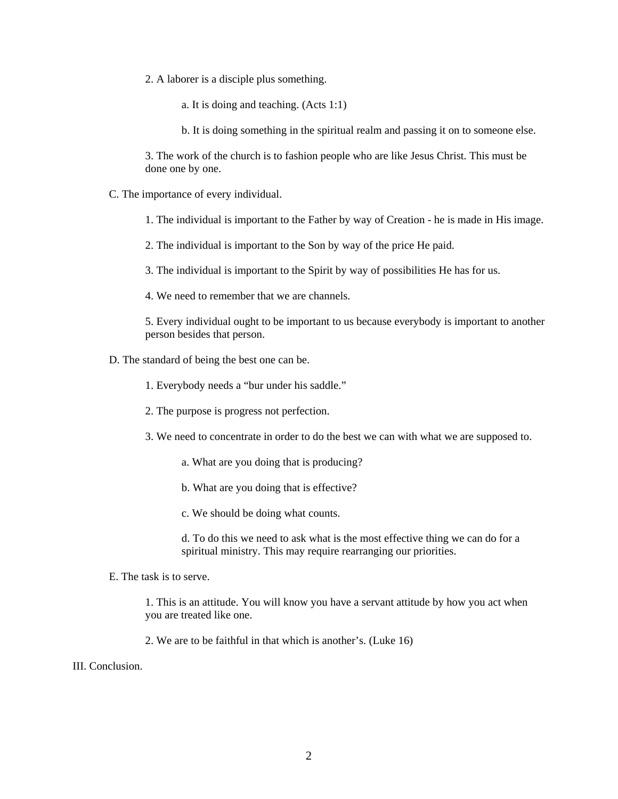2. A laborer is a disciple plus something.

a. It is doing and teaching. (Acts 1:1)

b. It is doing something in the spiritual realm and passing it on to someone else.

3. The work of the church is to fashion people who are like Jesus Christ. This must be done one by one.

C. The importance of every individual.

1. The individual is important to the Father by way of Creation - he is made in His image.

2. The individual is important to the Son by way of the price He paid.

3. The individual is important to the Spirit by way of possibilities He has for us.

4. We need to remember that we are channels.

5. Every individual ought to be important to us because everybody is important to another person besides that person.

- D. The standard of being the best one can be.
	- 1. Everybody needs a "bur under his saddle."
	- 2. The purpose is progress not perfection.
	- 3. We need to concentrate in order to do the best we can with what we are supposed to.
		- a. What are you doing that is producing?
		- b. What are you doing that is effective?
		- c. We should be doing what counts.

d. To do this we need to ask what is the most effective thing we can do for a spiritual ministry. This may require rearranging our priorities.

E. The task is to serve.

1. This is an attitude. You will know you have a servant attitude by how you act when you are treated like one.

2. We are to be faithful in that which is another's. (Luke 16)

III. Conclusion.